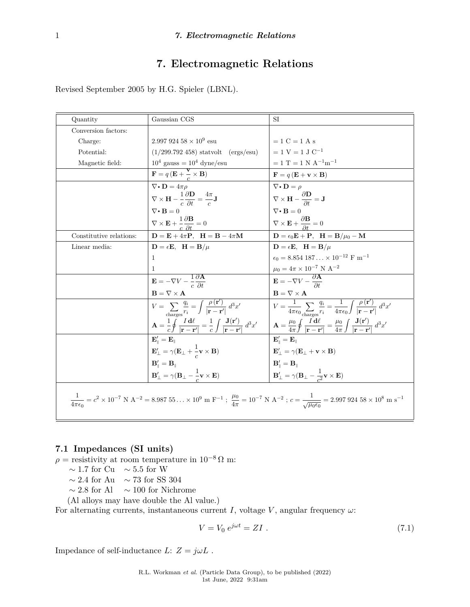# **7. Electromagnetic Relations**

Revised September 2005 by H.G. Spieler (LBNL).

| Quantity                                                                                                                                                                                                                                      | Gaussian CGS                                                                                                                                                                 | SI                                                                                                                                                                                                                             |
|-----------------------------------------------------------------------------------------------------------------------------------------------------------------------------------------------------------------------------------------------|------------------------------------------------------------------------------------------------------------------------------------------------------------------------------|--------------------------------------------------------------------------------------------------------------------------------------------------------------------------------------------------------------------------------|
| Conversion factors:                                                                                                                                                                                                                           |                                                                                                                                                                              |                                                                                                                                                                                                                                |
| Charge:                                                                                                                                                                                                                                       | $2.99792458 \times 10^9$ esu                                                                                                                                                 | $= 1 C = 1 A s$                                                                                                                                                                                                                |
| Potential:                                                                                                                                                                                                                                    | $(1/299.792 458)$ statuolt (ergs/esu)                                                                                                                                        | $= 1$ V $= 1$ J $C^{-1}$                                                                                                                                                                                                       |
| Magnetic field:                                                                                                                                                                                                                               | $10^4$ gauss = $10^4$ dyne/esu                                                                                                                                               | $= 1$ T = 1 N A <sup>-1</sup> m <sup>-1</sup>                                                                                                                                                                                  |
|                                                                                                                                                                                                                                               | $\mathbf{F} = q\left(\mathbf{E} + \frac{\mathbf{v}}{c} \times \mathbf{B}\right)$                                                                                             | $\mathbf{F} = q\left(\mathbf{E} + \mathbf{v} \times \mathbf{B}\right)$                                                                                                                                                         |
|                                                                                                                                                                                                                                               | $\nabla \cdot \mathbf{D} = 4\pi \rho$                                                                                                                                        | $\nabla \cdot \mathbf{D} = \rho$                                                                                                                                                                                               |
|                                                                                                                                                                                                                                               | $\nabla \times \mathbf{H} - \frac{1}{c} \frac{\partial \mathbf{D}}{\partial t} = \frac{4\pi}{c} \mathbf{J}$                                                                  | $\nabla \times \mathbf{H} - \frac{\partial \mathbf{D}}{\partial t} = \mathbf{J}$                                                                                                                                               |
|                                                                                                                                                                                                                                               | $\nabla \cdot \mathbf{B} = 0$                                                                                                                                                | $\nabla \bullet \mathbf{B} = 0$                                                                                                                                                                                                |
|                                                                                                                                                                                                                                               | $\nabla \times \mathbf{E} + \frac{1}{a} \frac{\partial \mathbf{B}}{\partial t} = 0$                                                                                          | $\nabla \times \mathbf{E} + \frac{\partial \mathbf{B}}{\partial t} = 0$                                                                                                                                                        |
| Constitutive relations:                                                                                                                                                                                                                       | $\mathbf{D} = \mathbf{E} + 4\pi \mathbf{P}$ , $\mathbf{H} = \mathbf{B} - 4\pi \mathbf{M}$                                                                                    | $\mathbf{D} = \epsilon_0 \mathbf{E} + \mathbf{P}, \ \ \mathbf{H} = \mathbf{B}/\mu_0 - \mathbf{M}$                                                                                                                              |
| Linear media:                                                                                                                                                                                                                                 | $\mathbf{D} = \epsilon \mathbf{E}, \ \ \mathbf{H} = \mathbf{B}/\mu$                                                                                                          | $D = \epsilon E$ , $H = B/\mu$                                                                                                                                                                                                 |
|                                                                                                                                                                                                                                               | 1                                                                                                                                                                            | $\epsilon_0 = 8.854 187 \times 10^{-12}$ F m <sup>-1</sup>                                                                                                                                                                     |
|                                                                                                                                                                                                                                               | 1                                                                                                                                                                            | $\mu_0=4\pi\times10^{-7}$ N $\mathrm{A}^{-2}$                                                                                                                                                                                  |
|                                                                                                                                                                                                                                               | $\mathbf{E} = -\nabla V - \frac{1}{c} \frac{\partial \mathbf{A}}{\partial t}$                                                                                                | $\mathbf{E} = -\nabla V - \frac{\partial \mathbf{A}}{\partial t}$                                                                                                                                                              |
|                                                                                                                                                                                                                                               | $\mathbf{B} = \nabla \times \mathbf{A}$                                                                                                                                      | $B = \nabla \times A$                                                                                                                                                                                                          |
|                                                                                                                                                                                                                                               | $V = \sum_{\text{cherson}} \frac{q_i}{r_i} = \int \frac{\rho(\mathbf{r}')}{ \mathbf{r} - \mathbf{r}' } d^3x'$                                                                | $V = \frac{1}{4\pi\epsilon_0} \sum_{\text{charges}} \frac{q_i}{r_i} = \frac{1}{4\pi\epsilon_0} \int \frac{\rho(\mathbf{r}')}{ \mathbf{r} - \mathbf{r}' } d^3x'$                                                                |
|                                                                                                                                                                                                                                               | $\mathbf{A} = \frac{1}{c} \oint \frac{I \, \mathbf{d}\ell}{ \mathbf{r} - \mathbf{r}' } = \frac{1}{c} \int \frac{\mathbf{J}(\mathbf{r}')}{ \mathbf{r} - \mathbf{r}' } d^3 x'$ | $\left \begin{array}{cc} \mathbf{A}=\frac{\mu_0}{4\pi}\oint \frac{\vec{I}\,\mathbf{d}\ell}{ \mathbf{r}-\mathbf{r}' }=\frac{\mu_0}{4\pi}\int \frac{\mathbf{J}(\mathbf{r}')}{ \mathbf{r}-\mathbf{r}' }\,d^3x'\end{array}\right.$ |
|                                                                                                                                                                                                                                               | ${\bf E}^{\prime}_{\scriptscriptstyle \parallel}={\bf E}_{\scriptscriptstyle \parallel}$                                                                                     | ${\bf E}^\prime_{\scriptscriptstyle \rm I\hspace{-1pt}I}={\bf E}_{\scriptscriptstyle \rm I\hspace{-1pt}I}$                                                                                                                     |
|                                                                                                                                                                                                                                               | $\mathbf{E}'_{\perp} = \gamma (\mathbf{E}_{\perp} + \frac{1}{g}\mathbf{v} \times \mathbf{B})$                                                                                | $\mathbf{E}'_+ = \gamma (\mathbf{E}_+ + \mathbf{v} \times \mathbf{B})$                                                                                                                                                         |
|                                                                                                                                                                                                                                               | $\mathbf{B}'_{\perp} = \mathbf{B}_{\perp}$                                                                                                                                   | $\mathbf{B}'_{\parallel} = \mathbf{B}_{\parallel}$                                                                                                                                                                             |
|                                                                                                                                                                                                                                               | $\mathbf{B}'_{\perp} = \gamma (\mathbf{B}_{\perp} - \frac{1}{2} \mathbf{v} \times \mathbf{E})$                                                                               | $\mathbf{B}'_{\perp} = \gamma (\mathbf{B}_{\perp} - \frac{1}{a^2} \mathbf{v} \times \mathbf{E})$                                                                                                                               |
| $\frac{1}{4\pi\epsilon_0} = c^2 \times 10^{-7} \text{ N A}^{-2} = 8.98755 \times 10^9 \text{ m F}^{-1}$ ; $\frac{\mu_0}{4\pi} = 10^{-7} \text{ N A}^{-2}$ ; $c = \frac{1}{\sqrt{\mu_0 \epsilon_0}} = 2.99792458 \times 10^8 \text{ m s}^{-1}$ |                                                                                                                                                                              |                                                                                                                                                                                                                                |

## **7.1 Impedances (SI units)**

 $\rho$  = resistivity at room temperature in 10<sup>-8</sup> Ω m:

∼ 1*.*7 for Cu ∼ 5*.*5 for W

∼ 2*.*4 for Au ∼ 73 for SS 304

 $∼ 2.8$  for Al  $∼ 100$  for Nichrome

(Al alloys may have double the Al value.)

For alternating currents, instantaneous current *I*, voltage *V*, angular frequency  $\omega$ :

$$
V = V_0 e^{j\omega t} = ZI . \tag{7.1}
$$

Impedance of self-inductance  $L: Z = j\omega L$ .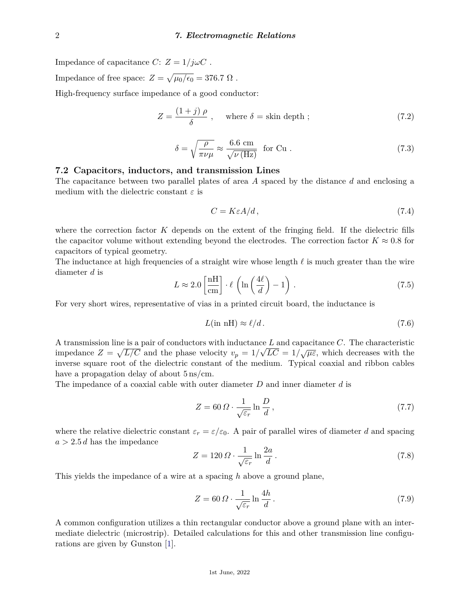Impedance of capacitance *C*:  $Z = 1/j\omega C$ . Impedance of free space:  $Z = \sqrt{\mu_0/\epsilon_0} = 376.7 \Omega$ .

High-frequency surface impedance of a good conductor:

$$
Z = \frac{(1+j)\,\rho}{\delta} \;, \quad \text{where } \delta = \text{skin depth }; \tag{7.2}
$$

$$
\delta = \sqrt{\frac{\rho}{\pi \nu \mu}} \approx \frac{6.6 \text{ cm}}{\sqrt{\nu \text{ (Hz)}}} \text{ for Cu.}
$$
 (7.3)

#### **7.2 Capacitors, inductors, and transmission Lines**

The capacitance between two parallel plates of area *A* spaced by the distance *d* and enclosing a medium with the dielectric constant *ε* is

$$
C = K\varepsilon A/d, \tag{7.4}
$$

where the correction factor *K* depends on the extent of the fringing field. If the dielectric fills the capacitor volume without extending beyond the electrodes. The correction factor  $K \approx 0.8$  for capacitors of typical geometry.

The inductance at high frequencies of a straight wire whose length  $\ell$  is much greater than the wire diameter *d* is

$$
L \approx 2.0 \left[ \frac{\text{nH}}{\text{cm}} \right] \cdot \ell \left( \ln \left( \frac{4\ell}{d} \right) - 1 \right) \,. \tag{7.5}
$$

For very short wires, representative of vias in a printed circuit board, the inductance is

$$
L(\text{in nH}) \approx \ell/d. \tag{7.6}
$$

A transmission line is a pair of conductors with inductance  $L$  and capacitance  $C$ . The characteristic impedance  $Z = \sqrt{L/C}$  and the phase velocity  $v_p = 1/\sqrt{LC} = 1/\sqrt{\mu \varepsilon}$ , which decreases with the inverse square root of the dielectric constant of the medium. Typical coaxial and ribbon cables have a propagation delay of about  $5 \text{ ns/cm}$ .

The impedance of a coaxial cable with outer diameter *D* and inner diameter *d* is

$$
Z = 60 \,\Omega \cdot \frac{1}{\sqrt{\varepsilon_r}} \ln \frac{D}{d} \,,\tag{7.7}
$$

where the relative dielectric constant  $\varepsilon_r = \varepsilon/\varepsilon_0$ . A pair of parallel wires of diameter *d* and spacing  $a > 2.5 d$  has the impedance

$$
Z = 120 \,\Omega \cdot \frac{1}{\sqrt{\varepsilon_r}} \ln \frac{2a}{d} \,. \tag{7.8}
$$

This yields the impedance of a wire at a spacing *h* above a ground plane,

$$
Z = 60 \,\Omega \cdot \frac{1}{\sqrt{\varepsilon_r}} \ln \frac{4h}{d} \,. \tag{7.9}
$$

A common configuration utilizes a thin rectangular conductor above a ground plane with an intermediate dielectric (microstrip). Detailed calculations for this and other transmission line configurations are given by Gunston [\[1\]](#page-3-0).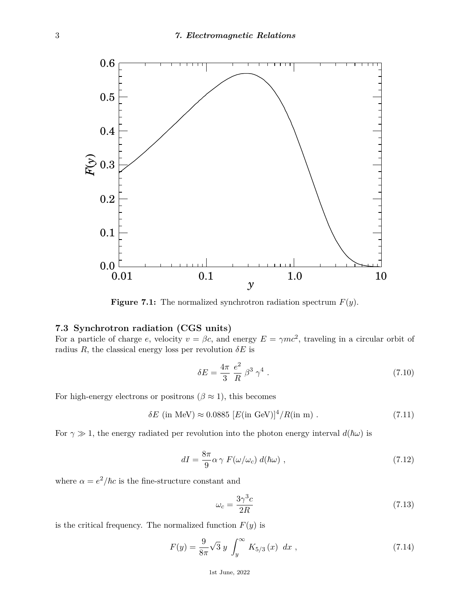

**Figure 7.1:** The normalized synchrotron radiation spectrum *F*(*y*).

### **7.3 Synchrotron radiation (CGS units)**

For a particle of charge *e*, velocity  $v = \beta c$ , and energy  $E = \gamma mc^2$ , traveling in a circular orbit of radius  $R$ , the classical energy loss per revolution  $\delta E$  is

$$
\delta E = \frac{4\pi}{3} \frac{e^2}{R} \beta^3 \gamma^4 \,. \tag{7.10}
$$

For high-energy electrons or positrons ( $\beta \approx 1$ ), this becomes

$$
\delta E
$$
 (in MeV)  $\approx 0.0885 [E(\text{in GeV})]^4 / R(\text{in m})$ . (7.11)

For  $\gamma \gg 1$ , the energy radiated per revolution into the photon energy interval  $d(\hbar \omega)$  is

$$
dI = \frac{8\pi}{9}\alpha\gamma F(\omega/\omega_c) d(\hbar\omega) , \qquad (7.12)
$$

where  $\alpha = e^2/\hbar c$  is the fine-structure constant and

$$
\omega_c = \frac{3\gamma^3 c}{2R} \tag{7.13}
$$

is the critical frequency. The normalized function  $F(y)$  is

$$
F(y) = \frac{9}{8\pi}\sqrt{3} y \int_{y}^{\infty} K_{5/3}(x) dx , \qquad (7.14)
$$